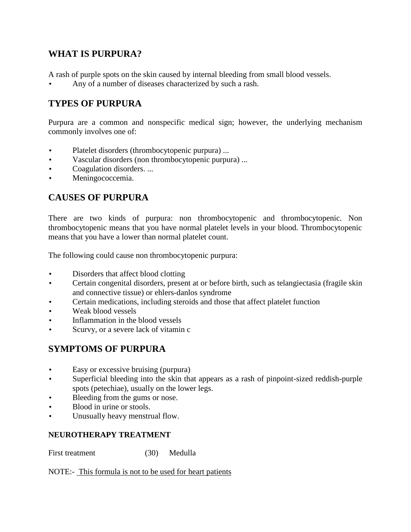## **WHAT IS PURPURA?**

A rash of purple spots on the skin caused by internal bleeding from small blood vessels.

Any of a number of diseases characterized by such a rash.

# **TYPES OF PURPURA**

Purpura are a common and nonspecific medical sign; however, the underlying mechanism commonly involves one of:

- Platelet disorders (thrombocytopenic purpura) ...
- Vascular disorders (non thrombocytopenic purpura) ...
- Coagulation disorders. ...
- Meningococcemia.

## **CAUSES OF PURPURA**

There are two kinds of purpura: non thrombocytopenic and thrombocytopenic. Non thrombocytopenic means that you have normal platelet levels in your blood. Thrombocytopenic means that you have a lower than normal platelet count.

The following could cause non thrombocytopenic purpura:

- Disorders that affect blood clotting
- Certain congenital disorders, present at or before birth, such as telangiectasia (fragile skin and connective tissue) or ehlers-danlos syndrome
- Certain medications, including steroids and those that affect platelet function
- Weak blood vessels
- Inflammation in the blood vessels
- Scurvy, or a severe lack of vitamin c

### **SYMPTOMS OF PURPURA**

- Easy or excessive bruising (purpura)
- Superficial bleeding into the skin that appears as a rash of pinpoint-sized reddish-purple spots (petechiae), usually on the lower legs.
- Bleeding from the gums or nose.
- Blood in urine or stools.
- Unusually heavy menstrual flow.

#### **NEUROTHERAPY TREATMENT**

First treatment (30) Medulla

NOTE:- This formula is not to be used for heart patients